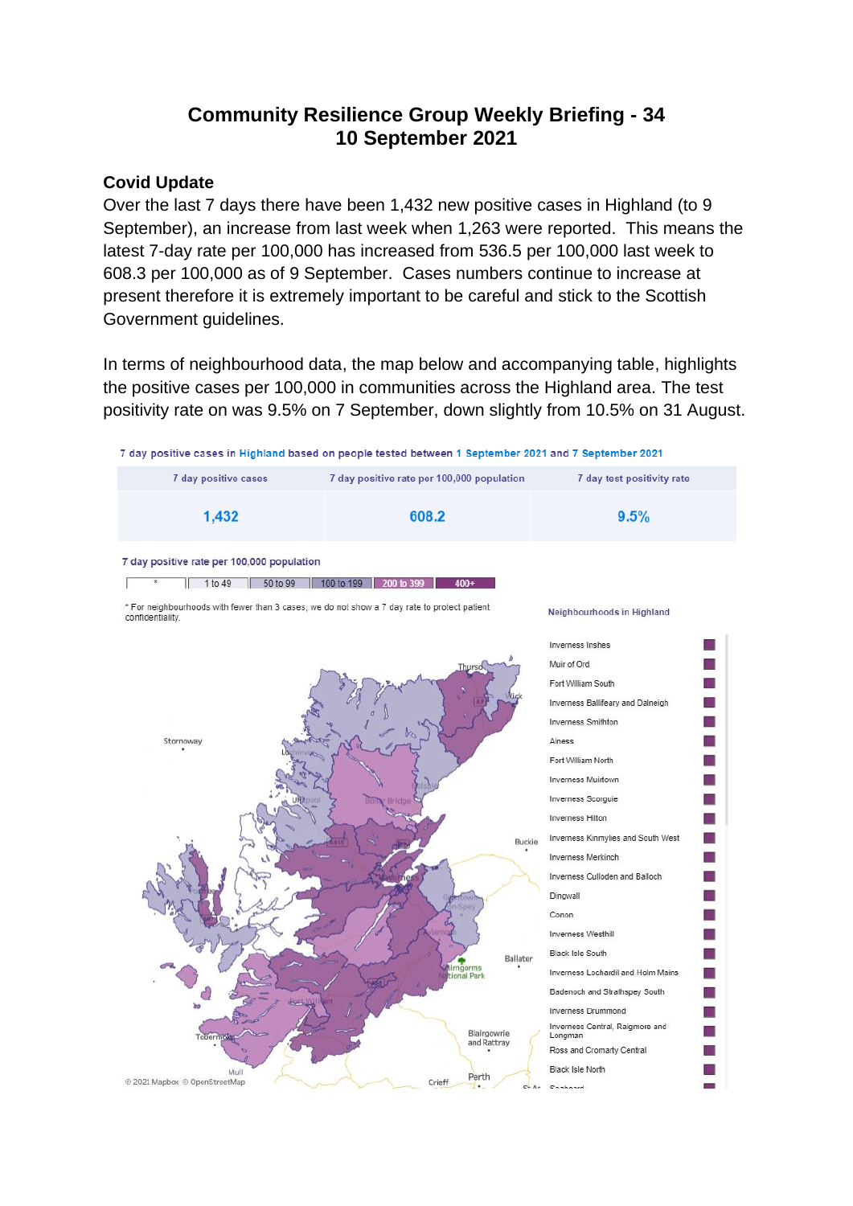# **Community Resilience Group Weekly Briefing - 34 10 September 2021**

### **Covid Update**

Over the last 7 days there have been 1,432 new positive cases in Highland (to 9 September), an increase from last week when 1,263 were reported. This means the latest 7-day rate per 100,000 has increased from 536.5 per 100,000 last week to 608.3 per 100,000 as of 9 September. Cases numbers continue to increase at present therefore it is extremely important to be careful and stick to the Scottish Government guidelines.

In terms of neighbourhood data, the map below and accompanying table, highlights the positive cases per 100,000 in communities across the Highland area. The test positivity rate on was 9.5% on 7 September, down slightly from 10.5% on 31 August.

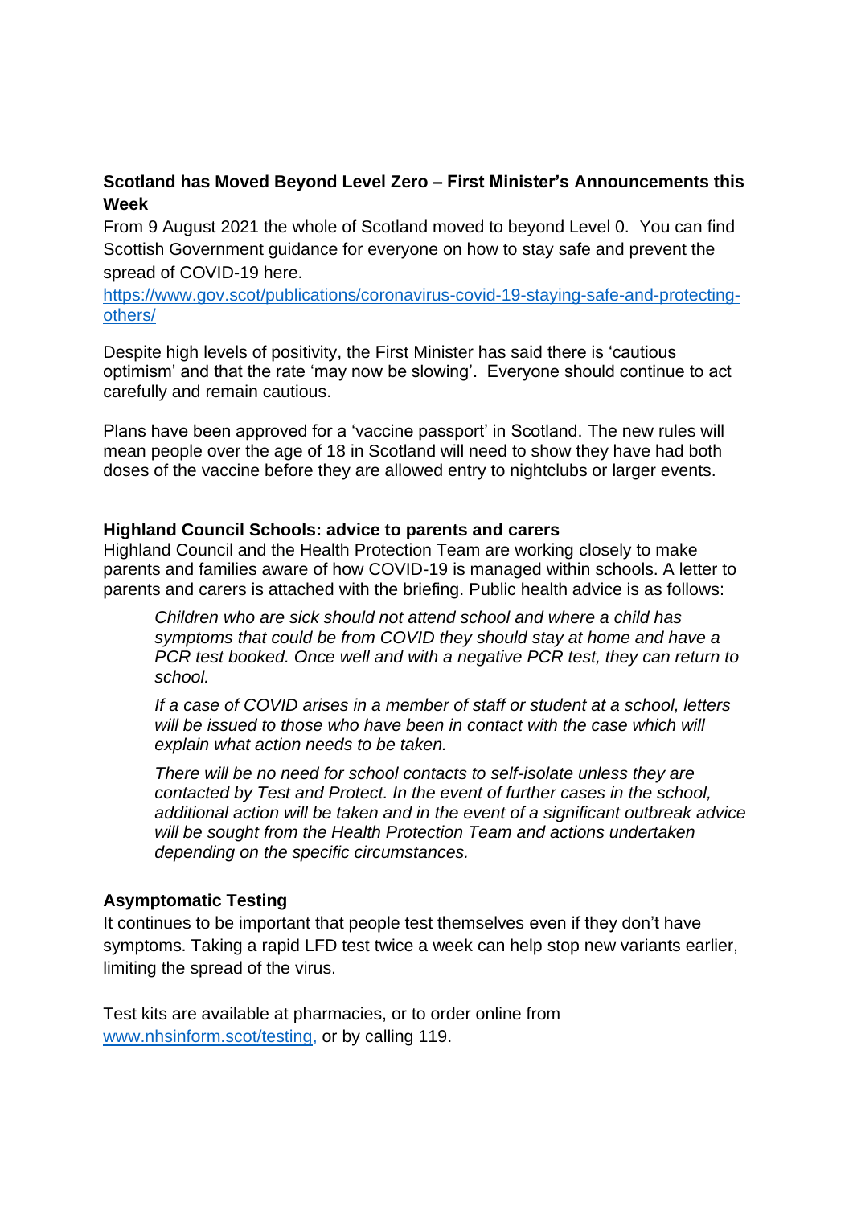# **Scotland has Moved Beyond Level Zero – First Minister's Announcements this Week**

From 9 August 2021 the whole of Scotland moved to beyond Level 0. You can find Scottish Government guidance for everyone on how to stay safe and prevent the spread of COVID-19 here.

[https://www.gov.scot/publications/coronavirus-covid-19-staying-safe-and-protecting](https://www.gov.scot/publications/coronavirus-covid-19-staying-safe-and-protecting-others/)[others/](https://www.gov.scot/publications/coronavirus-covid-19-staying-safe-and-protecting-others/)

Despite high levels of positivity, the First Minister has said there is 'cautious optimism' and that the rate 'may now be slowing'. Everyone should continue to act carefully and remain cautious.

Plans have been approved for a 'vaccine passport' in Scotland. The new rules will mean people over the age of 18 in Scotland will need to show they have had both doses of the vaccine before they are allowed entry to nightclubs or larger events.

#### **Highland Council Schools: advice to parents and carers**

Highland Council and the Health Protection Team are working closely to make parents and families aware of how COVID-19 is managed within schools. A letter to parents and carers is attached with the briefing. Public health advice is as follows:

*Children who are sick should not attend school and where a child has symptoms that could be from COVID they should stay at home and have a PCR test booked. Once well and with a negative PCR test, they can return to school.* 

*If a case of COVID arises in a member of staff or student at a school, letters will be issued to those who have been in contact with the case which will explain what action needs to be taken.* 

*There will be no need for school contacts to self-isolate unless they are contacted by Test and Protect. In the event of further cases in the school, additional action will be taken and in the event of a significant outbreak advice will be sought from the Health Protection Team and actions undertaken depending on the specific circumstances.*

### **Asymptomatic Testing**

It continues to be important that people test themselves even if they don't have symptoms. Taking a rapid LFD test twice a week can help stop new variants earlier, limiting the spread of the virus.

Test kits are available at pharmacies, or to order online from [www.nhsinform.scot/testing,](http://www.nhsinform.scot/testing) or by calling 119.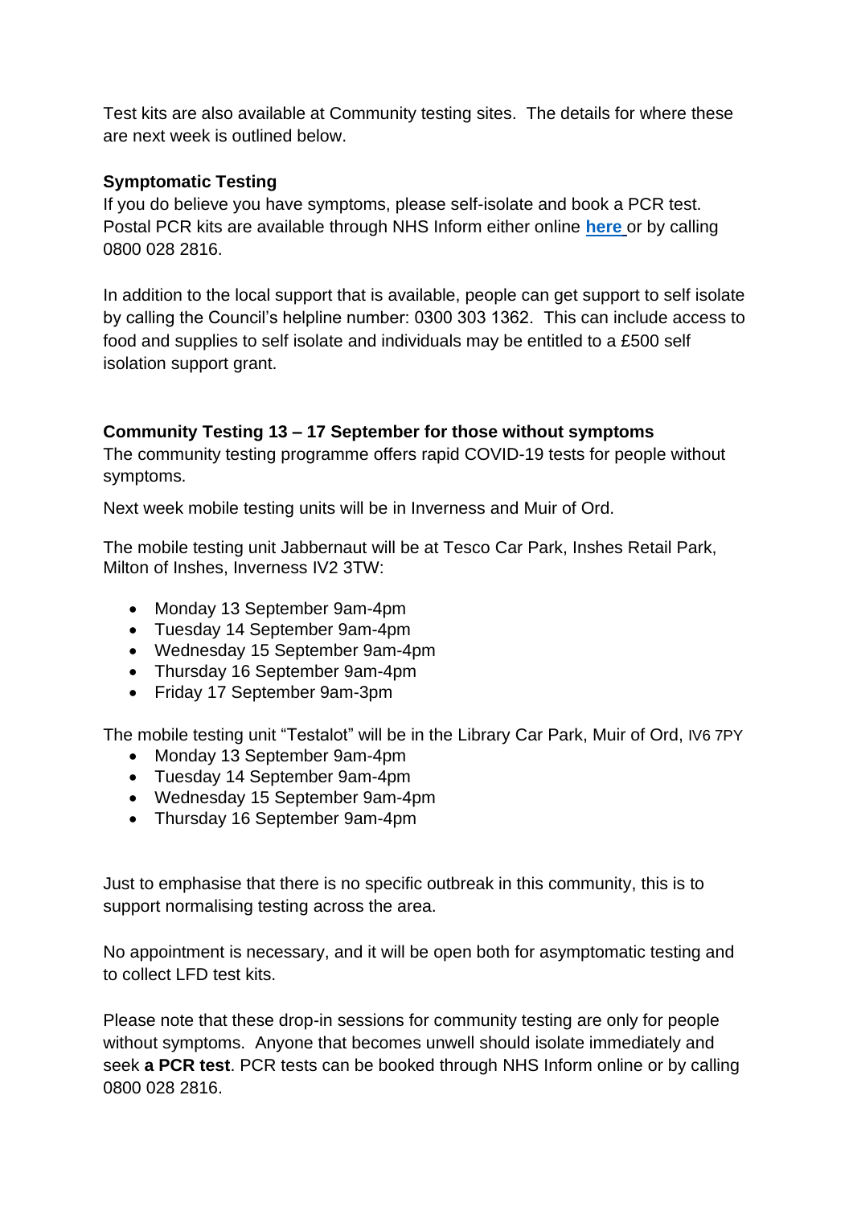Test kits are also available at Community testing sites. The details for where these are next week is outlined below.

# **Symptomatic Testing**

If you do believe you have symptoms, please self-isolate and book a PCR test. Postal PCR kits are available through NHS Inform either online **[here](https://eur02.safelinks.protection.outlook.com/?url=https%3A%2F%2Fwww.nhsinform.scot%2Fillnesses-and-conditions%2Finfections-and-poisoning%2Fcoronavirus-covid-19%2Ftest-and-protect%2Fcoronavirus-covid-19-how-to-do-a-pcr-test-at-home&data=04%7C01%7C%7C782f2f7756ee483e42e308d94dec951d%7C89f0b56e6d164fe89dba176fa940f7c9%7C0%7C0%7C637626500816082039%7CUnknown%7CTWFpbGZsb3d8eyJWIjoiMC4wLjAwMDAiLCJQIjoiV2luMzIiLCJBTiI6Ik1haWwiLCJXVCI6Mn0%3D%7C1000&sdata=Y%2BavkxLVdZX7n9HajM7JAMRH0o5v7yj1NIhNsrPP9Tg%3D&reserved=0)** or by calling 0800 028 2816.

In addition to the local support that is available, people can get support to self isolate by calling the Council's helpline number: 0300 303 1362. This can include access to food and supplies to self isolate and individuals may be entitled to a £500 self isolation support grant.

# **Community Testing 13 – 17 September for those without symptoms**

The community testing programme offers rapid COVID-19 tests for people without symptoms.

Next week mobile testing units will be in Inverness and Muir of Ord.

The mobile testing unit Jabbernaut will be at Tesco Car Park, Inshes Retail Park, Milton of Inshes, Inverness IV2 3TW:

- Monday 13 September 9am-4pm
- Tuesday 14 September 9am-4pm
- Wednesday 15 September 9am-4pm
- Thursday 16 September 9am-4pm
- Friday 17 September 9am-3pm

The mobile testing unit "Testalot" will be in the Library Car Park, Muir of Ord, IV6 7PY

- Monday 13 September 9am-4pm
- Tuesday 14 September 9am-4pm
- Wednesday 15 September 9am-4pm
- Thursday 16 September 9am-4pm

Just to emphasise that there is no specific outbreak in this community, this is to support normalising testing across the area.

No appointment is necessary, and it will be open both for asymptomatic testing and to collect LFD test kits.

Please note that these drop-in sessions for community testing are only for people without symptoms. Anyone that becomes unwell should isolate immediately and seek **a PCR test**. PCR tests can be booked through NHS Inform online or by calling 0800 028 2816.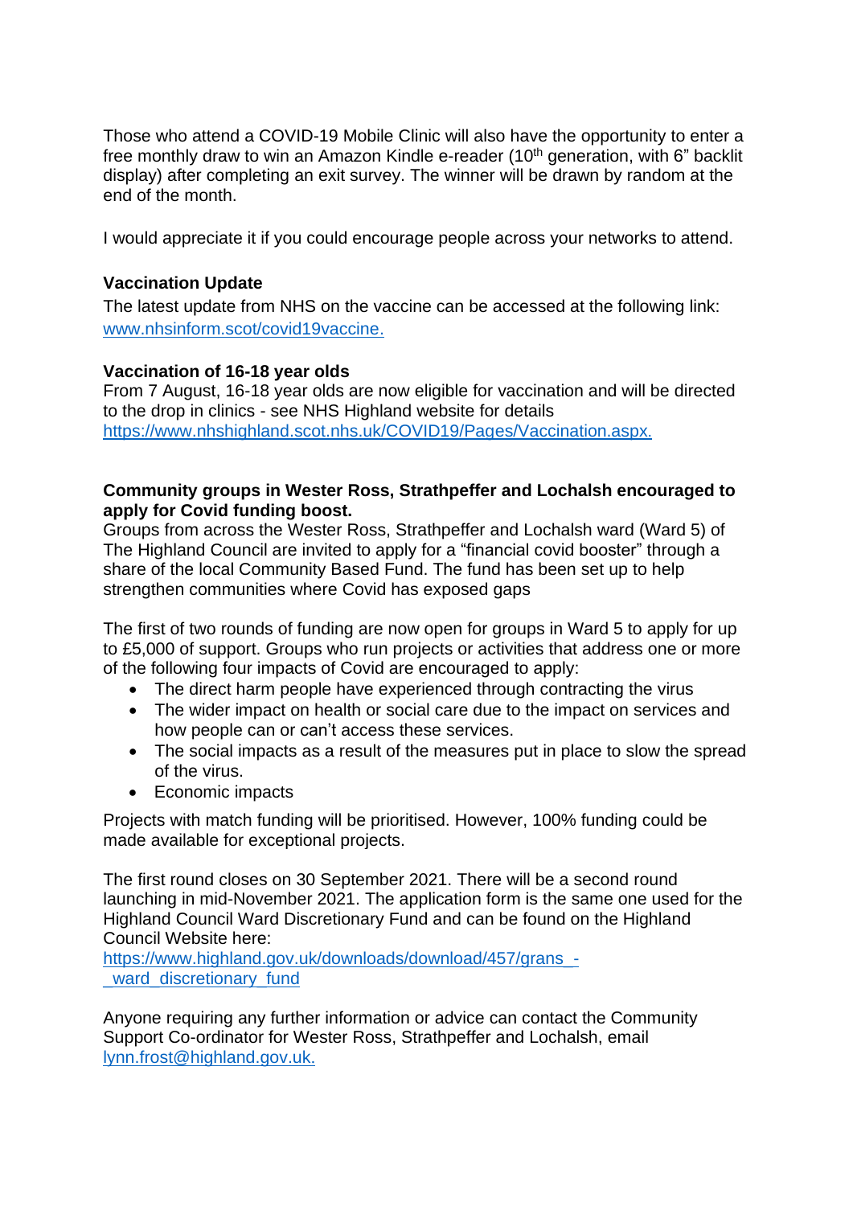Those who attend a COVID-19 Mobile Clinic will also have the opportunity to enter a free monthly draw to win an Amazon Kindle e-reader (10<sup>th</sup> generation, with 6" backlit display) after completing an exit survey. The winner will be drawn by random at the end of the month.

I would appreciate it if you could encourage people across your networks to attend.

### **Vaccination Update**

The latest update from NHS on the vaccine can be accessed at the following link: [www.nhsinform.scot/covid19vaccine.](http://www.nhsinform.scot/covid19vaccine)

### **Vaccination of 16-18 year olds**

From 7 August, 16-18 year olds are now eligible for vaccination and will be directed to the drop in clinics - see NHS Highland website for details <https://www.nhshighland.scot.nhs.uk/COVID19/Pages/Vaccination.aspx>.

### **Community groups in Wester Ross, Strathpeffer and Lochalsh encouraged to apply for Covid funding boost.**

Groups from across the Wester Ross, Strathpeffer and Lochalsh ward (Ward 5) of The Highland Council are invited to apply for a "financial covid booster" through a share of the local Community Based Fund. The fund has been set up to help strengthen communities where Covid has exposed gaps

The first of two rounds of funding are now open for groups in Ward 5 to apply for up to £5,000 of support. Groups who run projects or activities that address one or more of the following four impacts of Covid are encouraged to apply:

- The direct harm people have experienced through contracting the virus
- The wider impact on health or social care due to the impact on services and how people can or can't access these services.
- The social impacts as a result of the measures put in place to slow the spread of the virus.
- Economic impacts

Projects with match funding will be prioritised. However, 100% funding could be made available for exceptional projects.

The first round closes on 30 September 2021. There will be a second round launching in mid-November 2021. The application form is the same one used for the Highland Council Ward Discretionary Fund and can be found on the Highland Council Website here:

https://www.highland.gov.uk/downloads/download/457/grans ward discretionary fund

Anyone requiring any further information or advice can contact the Community Support Co-ordinator for Wester Ross, Strathpeffer and Lochalsh, email [lynn.frost@highland.gov.uk](mailto:lynn.frost@highland.gov.uk).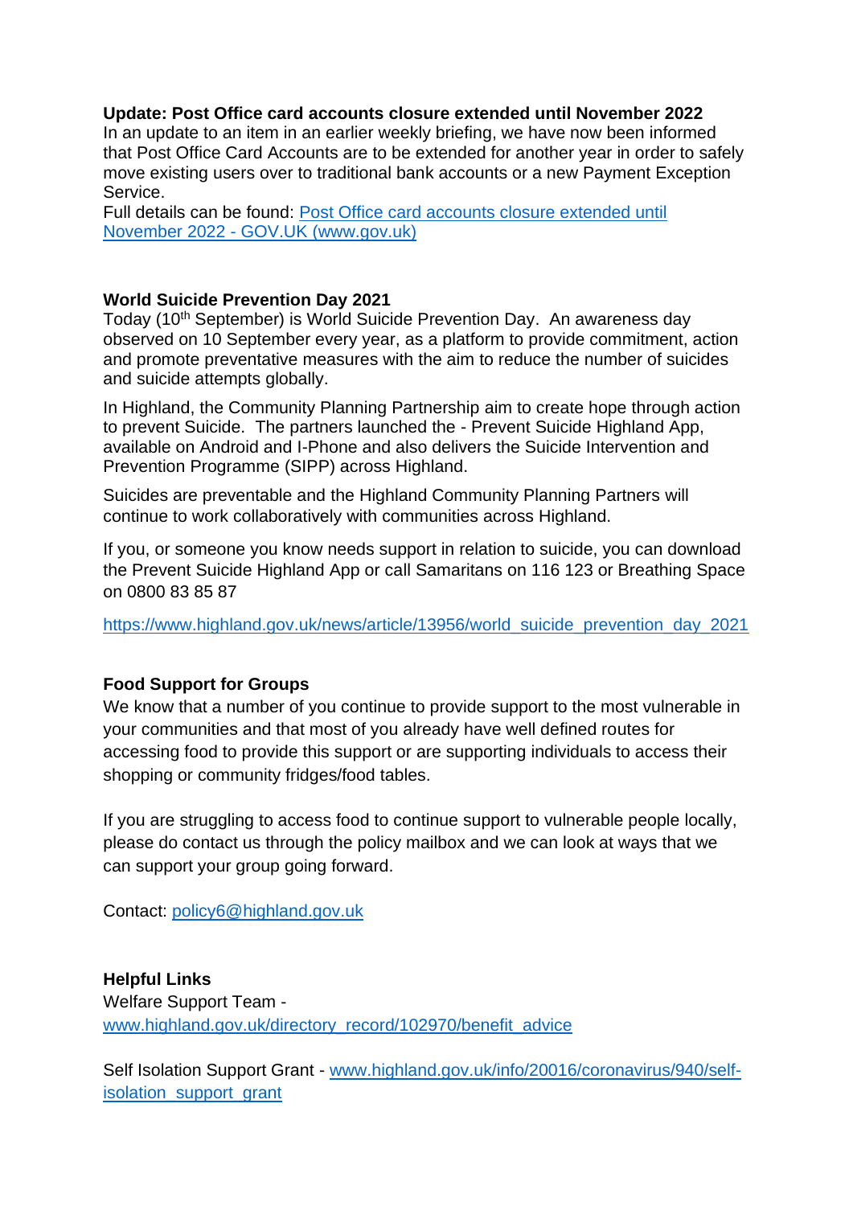### **Update: Post Office card accounts closure extended until November 2022**

In an update to an item in an earlier weekly briefing, we have now been informed that Post Office Card Accounts are to be extended for another year in order to safely move existing users over to traditional bank accounts or a new Payment Exception Service.

Full details can be found: [Post Office card accounts closure extended until](https://eur02.safelinks.protection.outlook.com/?url=https%3A%2F%2Fwww.gov.uk%2Fgovernment%2Fnews%2Fpost-office-card-accounts-closure-extended-until-november-2022&data=04%7C01%7C%7Cf287749aa58e4da7739708d9742cacfa%7C89f0b56e6d164fe89dba176fa940f7c9%7C0%7C0%7C637668557487518158%7CUnknown%7CTWFpbGZsb3d8eyJWIjoiMC4wLjAwMDAiLCJQIjoiV2luMzIiLCJBTiI6Ik1haWwiLCJXVCI6Mn0%3D%7C1000&sdata=Qn8fr0nlG7PdJSwWZWIjcETlBd1oLQ1ZXnkIL%2F5kPfY%3D&reserved=0)  November 2022 - [GOV.UK \(www.gov.uk\)](https://eur02.safelinks.protection.outlook.com/?url=https%3A%2F%2Fwww.gov.uk%2Fgovernment%2Fnews%2Fpost-office-card-accounts-closure-extended-until-november-2022&data=04%7C01%7C%7Cf287749aa58e4da7739708d9742cacfa%7C89f0b56e6d164fe89dba176fa940f7c9%7C0%7C0%7C637668557487518158%7CUnknown%7CTWFpbGZsb3d8eyJWIjoiMC4wLjAwMDAiLCJQIjoiV2luMzIiLCJBTiI6Ik1haWwiLCJXVCI6Mn0%3D%7C1000&sdata=Qn8fr0nlG7PdJSwWZWIjcETlBd1oLQ1ZXnkIL%2F5kPfY%3D&reserved=0)

#### **World Suicide Prevention Day 2021**

Today (10<sup>th</sup> September) is World Suicide Prevention Day. An awareness day observed on 10 September every year, as a platform to provide commitment, action and promote preventative measures with the aim to reduce the number of suicides and suicide attempts globally.

In Highland, the Community Planning Partnership aim to create hope through action to prevent Suicide. The partners launched the - Prevent Suicide Highland App, available on Android and I-Phone and also delivers the Suicide Intervention and Prevention Programme (SIPP) across Highland.

Suicides are preventable and the Highland Community Planning Partners will continue to work collaboratively with communities across Highland.

If you, or someone you know needs support in relation to suicide, you can download the Prevent Suicide Highland App or call Samaritans on 116 123 or Breathing Space on 0800 83 85 87

[https://www.highland.gov.uk/news/article/13956/world\\_suicide\\_prevention\\_day\\_2021](https://www.highland.gov.uk/news/article/13956/world_suicide_prevention_day_2021)

### **Food Support for Groups**

We know that a number of you continue to provide support to the most vulnerable in your communities and that most of you already have well defined routes for accessing food to provide this support or are supporting individuals to access their shopping or community fridges/food tables.

If you are struggling to access food to continue support to vulnerable people locally, please do contact us through the policy mailbox and we can look at ways that we can support your group going forward.

Contact: [policy6@highland.gov.uk](mailto:policy6@highland.gov.uk)

**Helpful Links** Welfare Support Team [www.highland.gov.uk/directory\\_record/102970/benefit\\_advice](http://www.highland.gov.uk/directory_record/102970/benefit_advice)

Self Isolation Support Grant - [www.highland.gov.uk/info/20016/coronavirus/940/self](http://www.highland.gov.uk/info/20016/coronavirus/940/self-isolation_support_grant)[isolation\\_support\\_grant](http://www.highland.gov.uk/info/20016/coronavirus/940/self-isolation_support_grant)